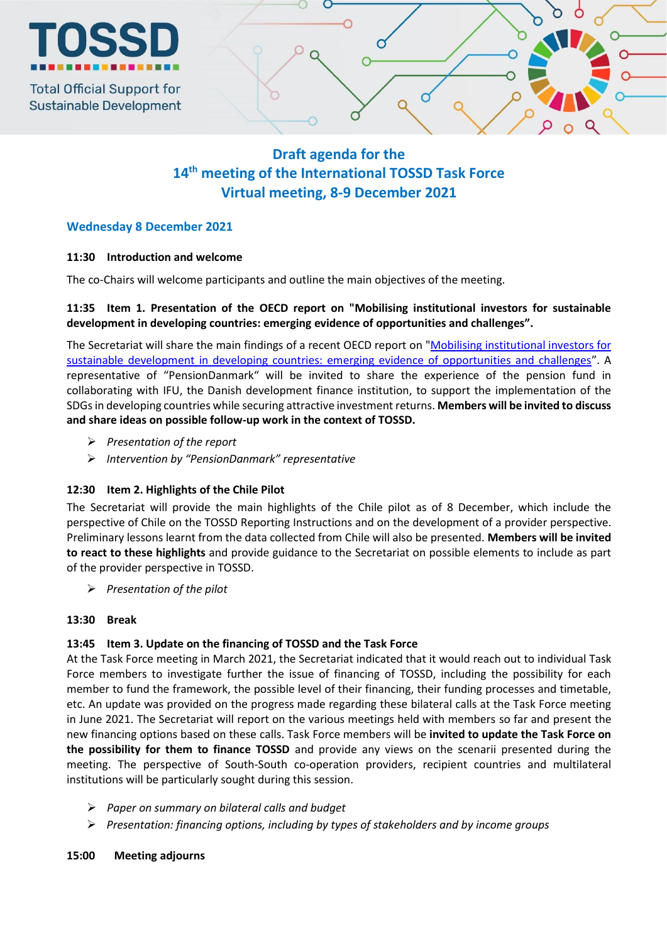

# **Draft agenda for the 14 th meeting of the International TOSSD Task Force Virtual meeting, 8-9 December 2021**

## **Wednesday 8 December 2021**

#### **11:30 Introduction and welcome**

The co-Chairs will welcome participants and outline the main objectives of the meeting.

## **11:35 Item 1. Presentation of the OECD report on "Mobilising institutional investors for sustainable development in developing countries: emerging evidence of opportunities and challenges".**

The Secretariat will share the main findings of a recent OECD report on ["Mobilising institutional investors for](https://www.oecd.org/dac/financing-sustainable-development/development-finance-standards/mobilising-institutional-investors-financing-sustainable-development.htm)  [sustainable development in developing countries: emerging evidence of opportunities and challenges](https://www.oecd.org/dac/financing-sustainable-development/development-finance-standards/mobilising-institutional-investors-financing-sustainable-development.htm)". A representative of "PensionDanmark" will be invited to share the experience of the pension fund in collaborating with IFU, the Danish development finance institution, to support the implementation of the SDGs in developing countries while securing attractive investment returns. **Members will be invited to discuss and share ideas on possible follow-up work in the context of TOSSD.**

- *Presentation of the report*
- *Intervention by "PensionDanmark" representative*

## **12:30 Item 2. Highlights of the Chile Pilot**

The Secretariat will provide the main highlights of the Chile pilot as of 8 December, which include the perspective of Chile on the TOSSD Reporting Instructions and on the development of a provider perspective. Preliminary lessons learnt from the data collected from Chile will also be presented. **Members will be invited to react to these highlights** and provide guidance to the Secretariat on possible elements to include as part of the provider perspective in TOSSD.

*Presentation of the pilot*

#### **13:30 Break**

## **13:45 Item 3. Update on the financing of TOSSD and the Task Force**

At the Task Force meeting in March 2021, the Secretariat indicated that it would reach out to individual Task Force members to investigate further the issue of financing of TOSSD, including the possibility for each member to fund the framework, the possible level of their financing, their funding processes and timetable, etc. An update was provided on the progress made regarding these bilateral calls at the Task Force meeting in June 2021. The Secretariat will report on the various meetings held with members so far and present the new financing options based on these calls. Task Force members will be **invited to update the Task Force on the possibility for them to finance TOSSD** and provide any views on the scenarii presented during the meeting. The perspective of South-South co-operation providers, recipient countries and multilateral institutions will be particularly sought during this session.

- *Paper on summary on bilateral calls and budget*
- *Presentation: financing options, including by types of stakeholders and by income groups*

#### **15:00 Meeting adjourns**